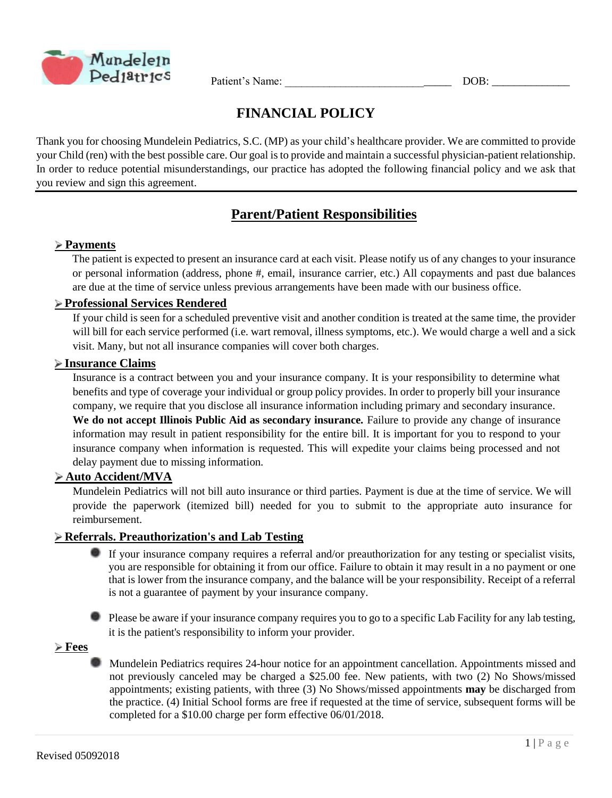

Patient's Name: \_\_\_\_\_\_\_\_\_\_\_\_\_\_\_\_\_\_\_\_\_\_\_\_\_\_\_\_\_\_ DOB: \_\_\_\_\_\_\_\_\_\_\_\_\_\_

# **FINANCIAL POLICY**

Thank you for choosing Mundelein Pediatrics, S.C. (MP) as your child's healthcare provider. We are committed to provide your Child (ren) with the best possible care. Our goal is to provide and maintain a successful physician-patient relationship. In order to reduce potential misunderstandings, our practice has adopted the following financial policy and we ask that you review and sign this agreement.

# **Parent/Patient Responsibilities**

## **Payments**

The patient is expected to present an insurance card at each visit. Please notify us of any changes to your insurance or personal information (address, phone #, email, insurance carrier, etc.) All copayments and past due balances are due at the time of service unless previous arrangements have been made with our business office.

## **Professional Services Rendered**

If your child is seen for a scheduled preventive visit and another condition is treated at the same time, the provider will bill for each service performed (i.e. wart removal, illness symptoms, etc.). We would charge a well and a sick visit. Many, but not all insurance companies will cover both charges.

#### **Insurance Claims**

Insurance is a contract between you and your insurance company. It is your responsibility to determine what benefits and type of coverage your individual or group policy provides. In order to properly bill your insurance company, we require that you disclose all insurance information including primary and secondary insurance. **We do not accept Illinois Public Aid as secondary insurance.** Failure to provide any change of insurance information may result in patient responsibility for the entire bill. It is important for you to respond to your insurance company when information is requested. This will expedite your claims being processed and not delay payment due to missing information.

#### **Auto Accident/MVA**

Mundelein Pediatrics will not bill auto insurance or third parties. Payment is due at the time of service. We will provide the paperwork (itemized bill) needed for you to submit to the appropriate auto insurance for reimbursement.

#### **Referrals. Preauthorization's and Lab Testing**

- If your insurance company requires a referral and/or preauthorization for any testing or specialist visits, you are responsible for obtaining it from our office. Failure to obtain it may result in a no payment or one that is lower from the insurance company, and the balance will be your responsibility. Receipt of a referral is not a guarantee of payment by your insurance company.
- **Please be aware if your insurance company requires you to go to a specific Lab Facility for any lab testing,** it is the patient's responsibility to inform your provider.

**Fees**

Mundelein Pediatrics requires 24-hour notice for an appointment cancellation. Appointments missed and not previously canceled may be charged a \$25.00 fee. New patients, with two (2) No Shows/missed appointments; existing patients, with three (3) No Shows/missed appointments **may** be discharged from the practice. (4) Initial School forms are free if requested at the time of service, subsequent forms will be completed for a \$10.00 charge per form effective 06/01/2018.